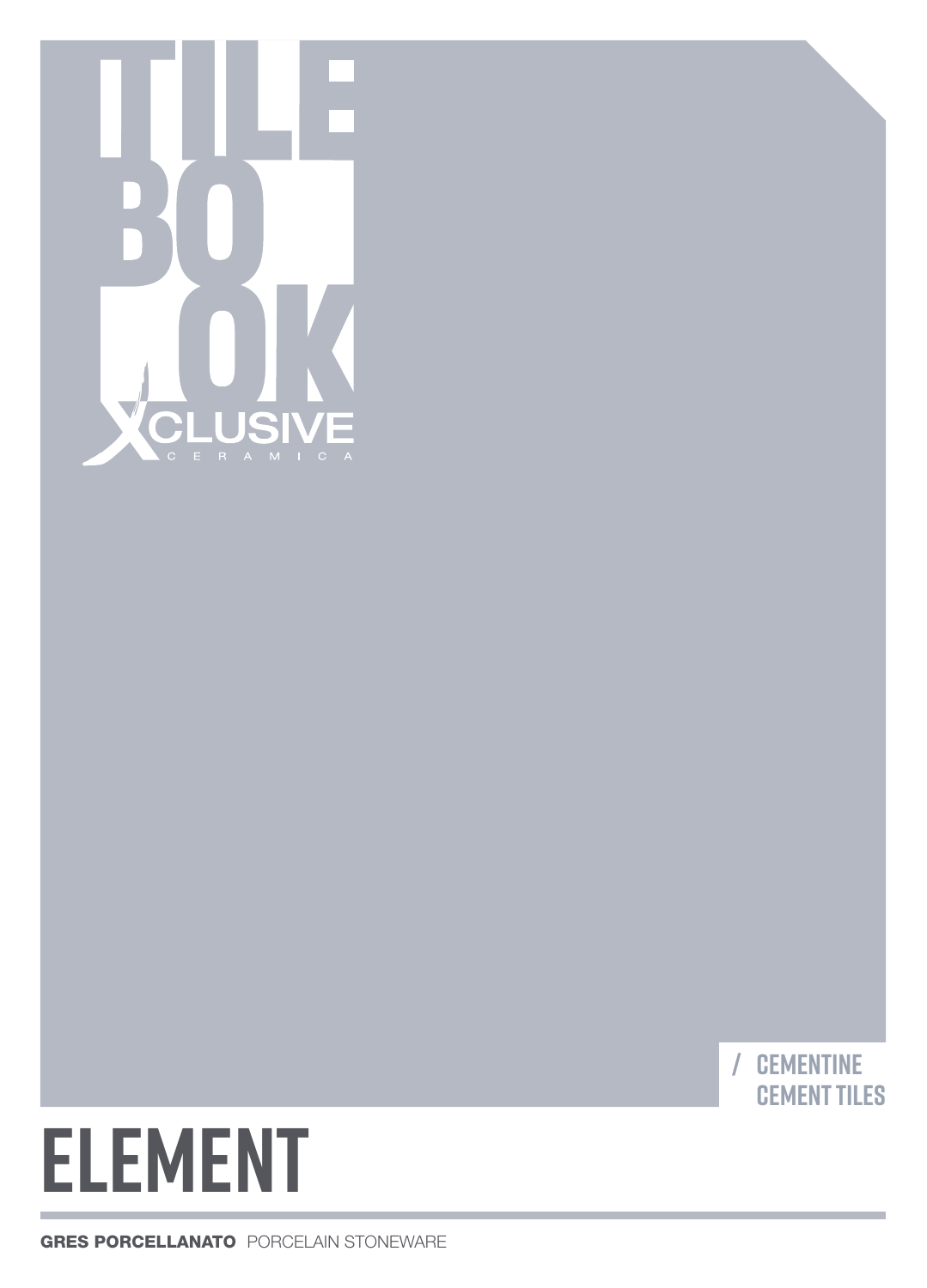



# **ELEMENT**

GRES PORCELLANATO PORCELAIN STONEWARE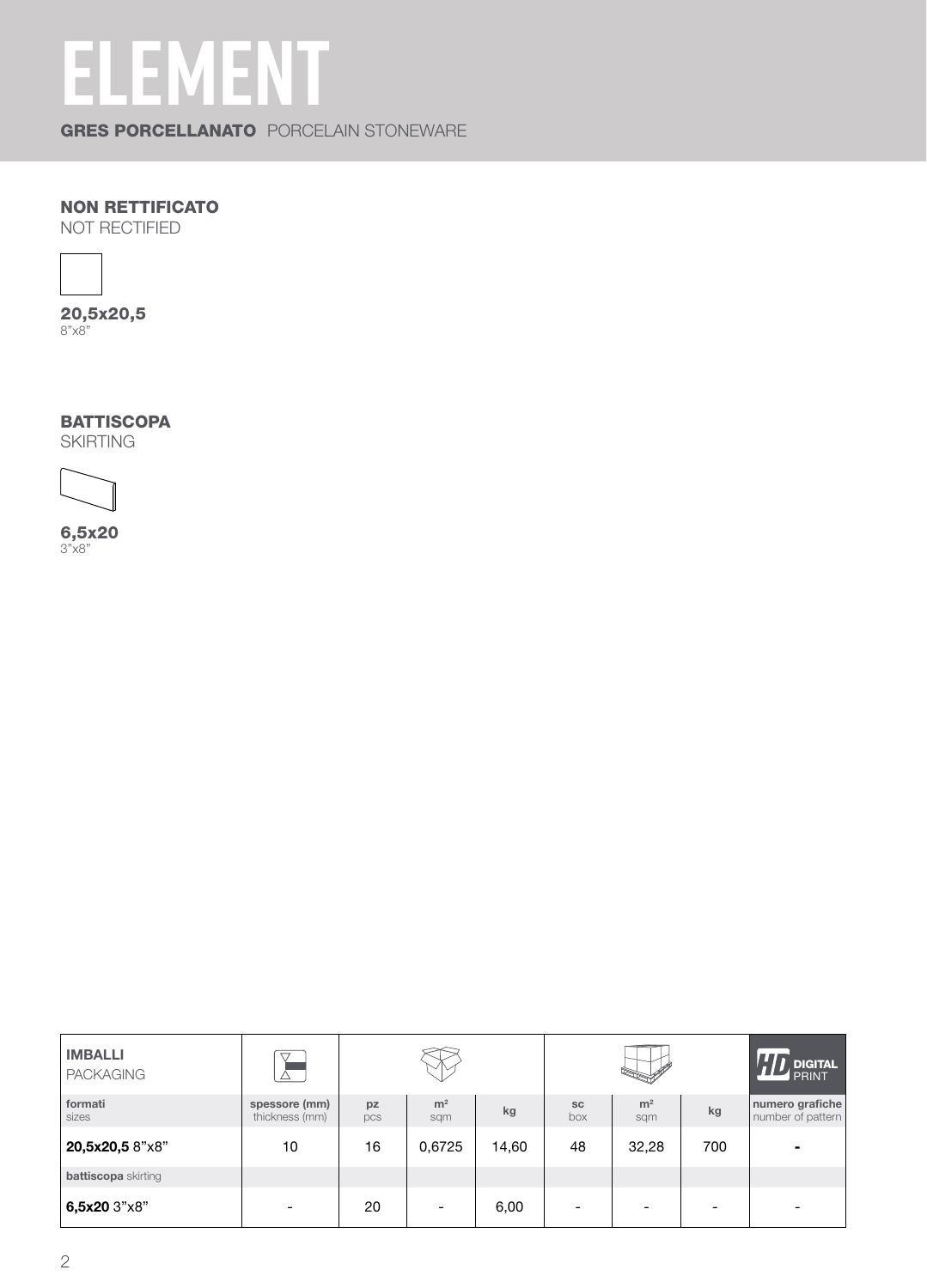## **ELEMENT**

GRES PORCELLANATO PORCELAIN STONEWARE

#### NON RETTIFICATO

NOT RECTIFIED



20,5x20,5 8"x8"

**BATTISCOPA** 

SKIRTING



6,5x20 3"x8"

| <b>IMBALLI</b><br><b>PACKAGING</b> |                                 |           |                          |       |                  |                       |                          | <b>DIGITAL</b><br>PRINT              |
|------------------------------------|---------------------------------|-----------|--------------------------|-------|------------------|-----------------------|--------------------------|--------------------------------------|
| formati<br>sizes                   | spessore (mm)<br>thickness (mm) | pz<br>pcs | m <sup>2</sup><br>sqm    | kg    | <b>SC</b><br>box | m <sup>2</sup><br>sqm | kg                       | numero grafiche<br>number of pattern |
| 20,5x20,5 8"x8"                    | 10                              | 16        | 0,6725                   | 14,60 | 48               | 32,28                 | 700                      | $\blacksquare$                       |
| <b>battiscopa</b> skirting         |                                 |           |                          |       |                  |                       |                          |                                      |
| 6,5x20 3"x8"                       |                                 | 20        | $\overline{\phantom{0}}$ | 6,00  | -                |                       | $\overline{\phantom{0}}$ | -                                    |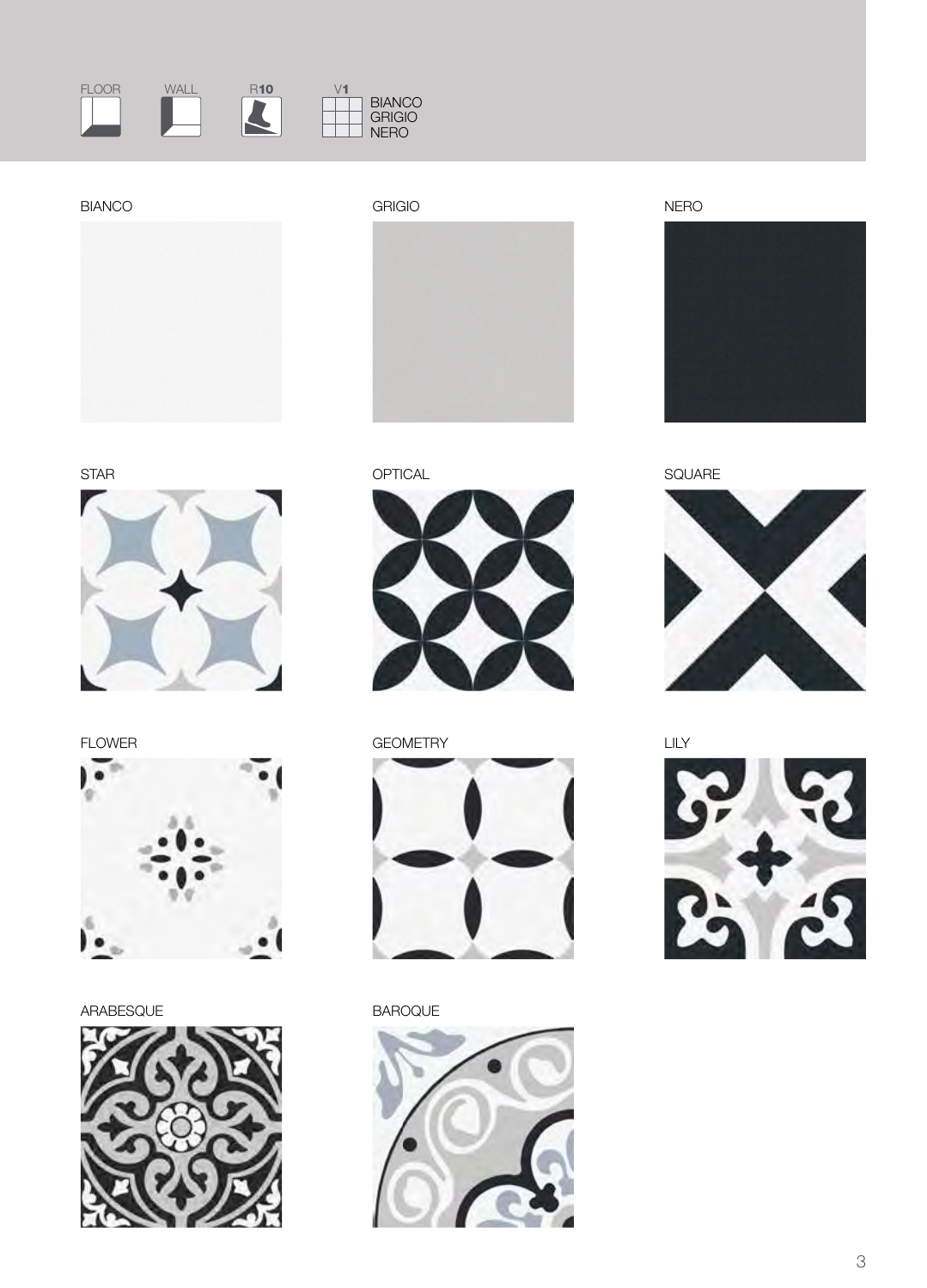

BIANCO GRIGIO NERO











ARABESQUE BAROQUE











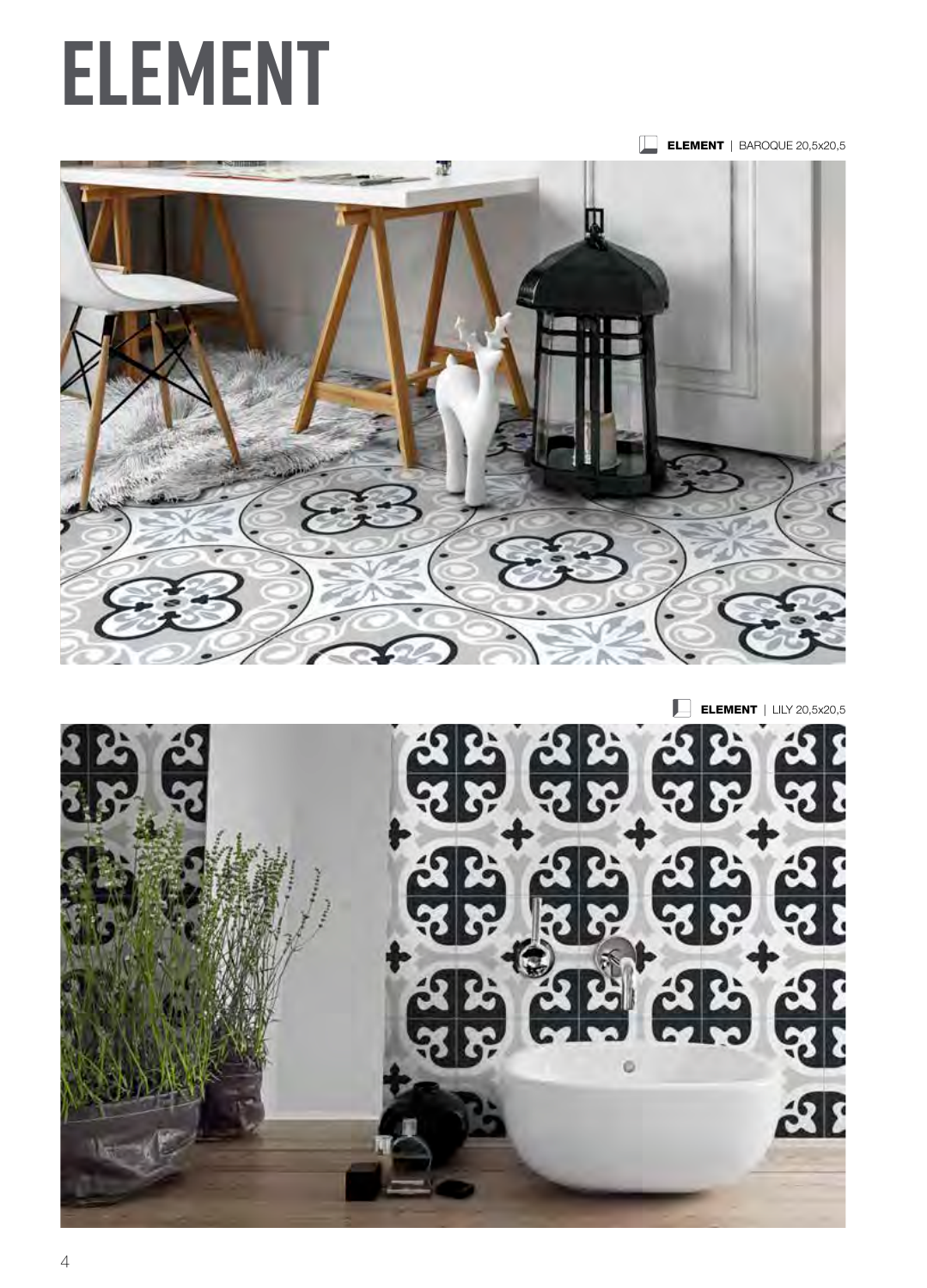

 $\Box$ **ELEMENT** | LILY 20,5x20,5



## **ELEMENT**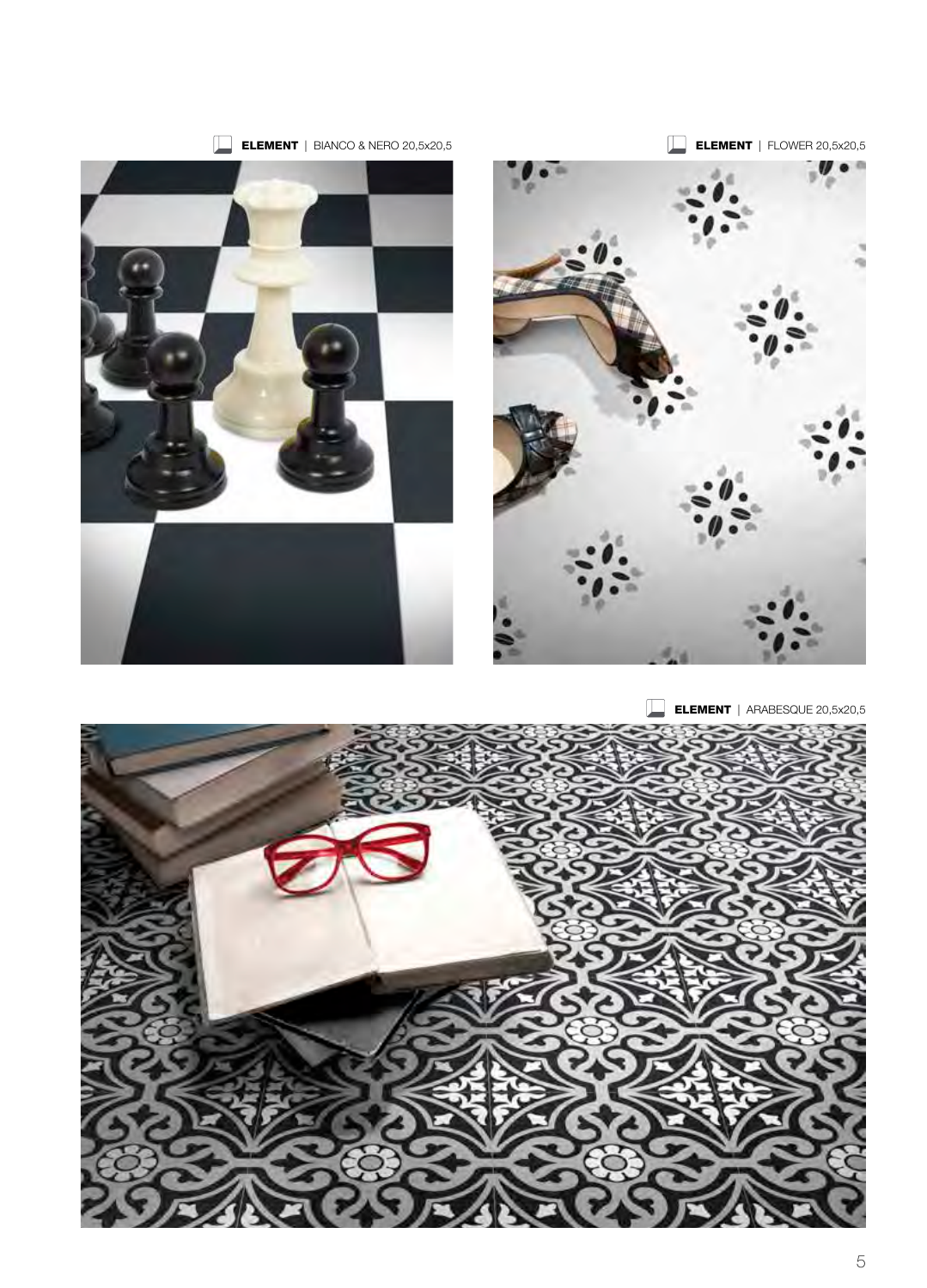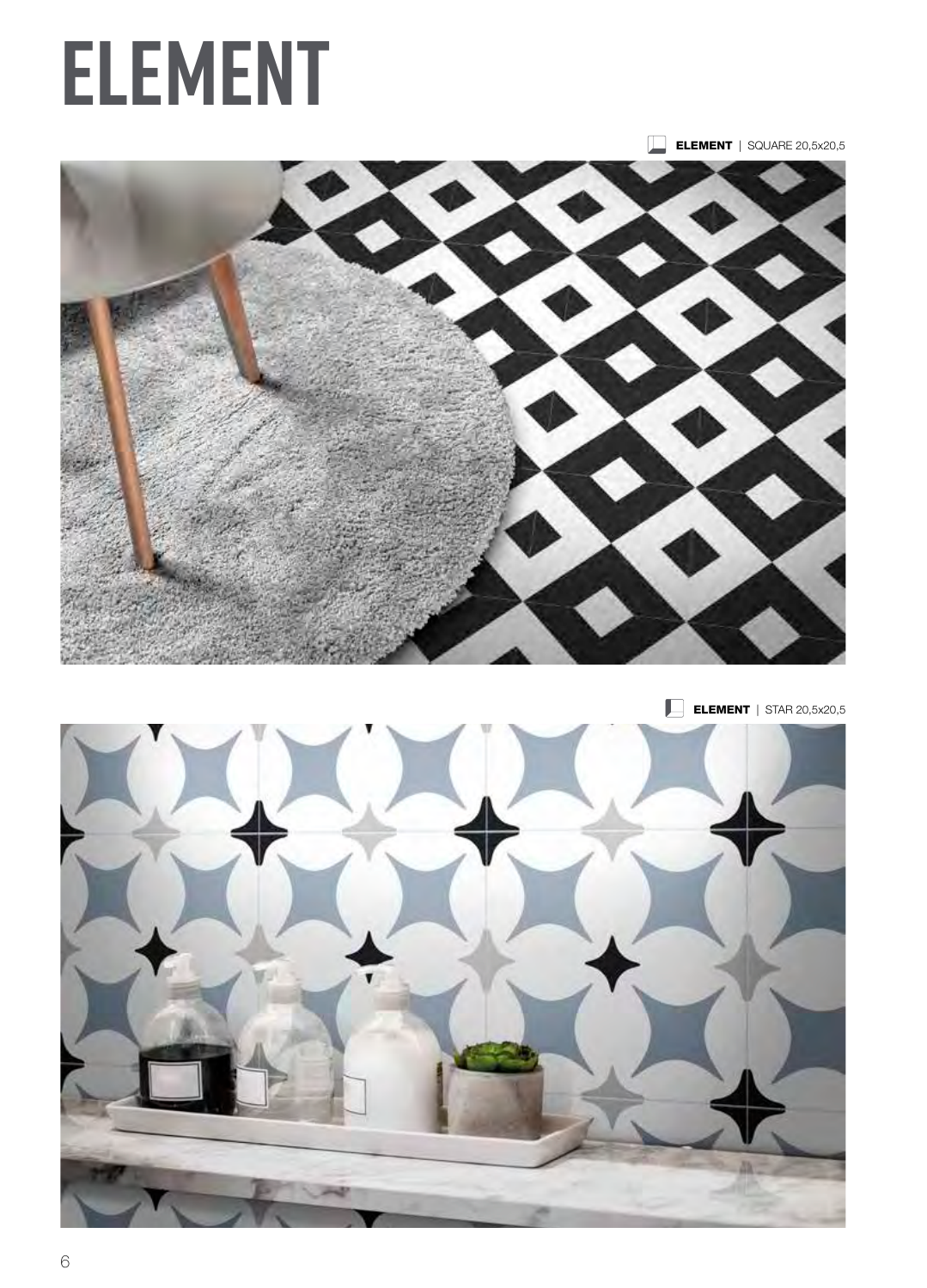# **ELEMENT**







 $\Box$  ELEMENT | STAR 20,5x20,5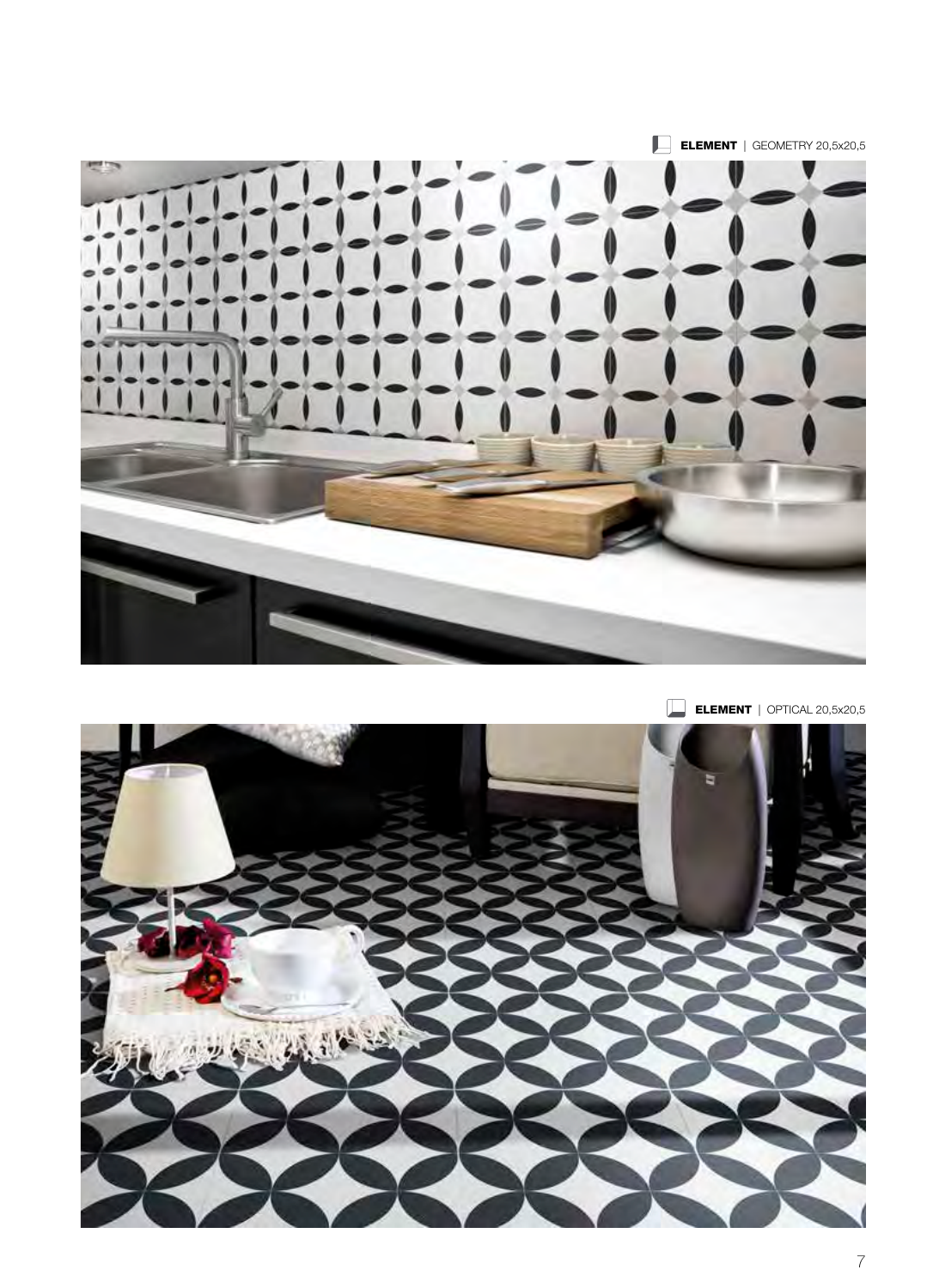

ELEMENT | OPTICAL 20,5x20,5

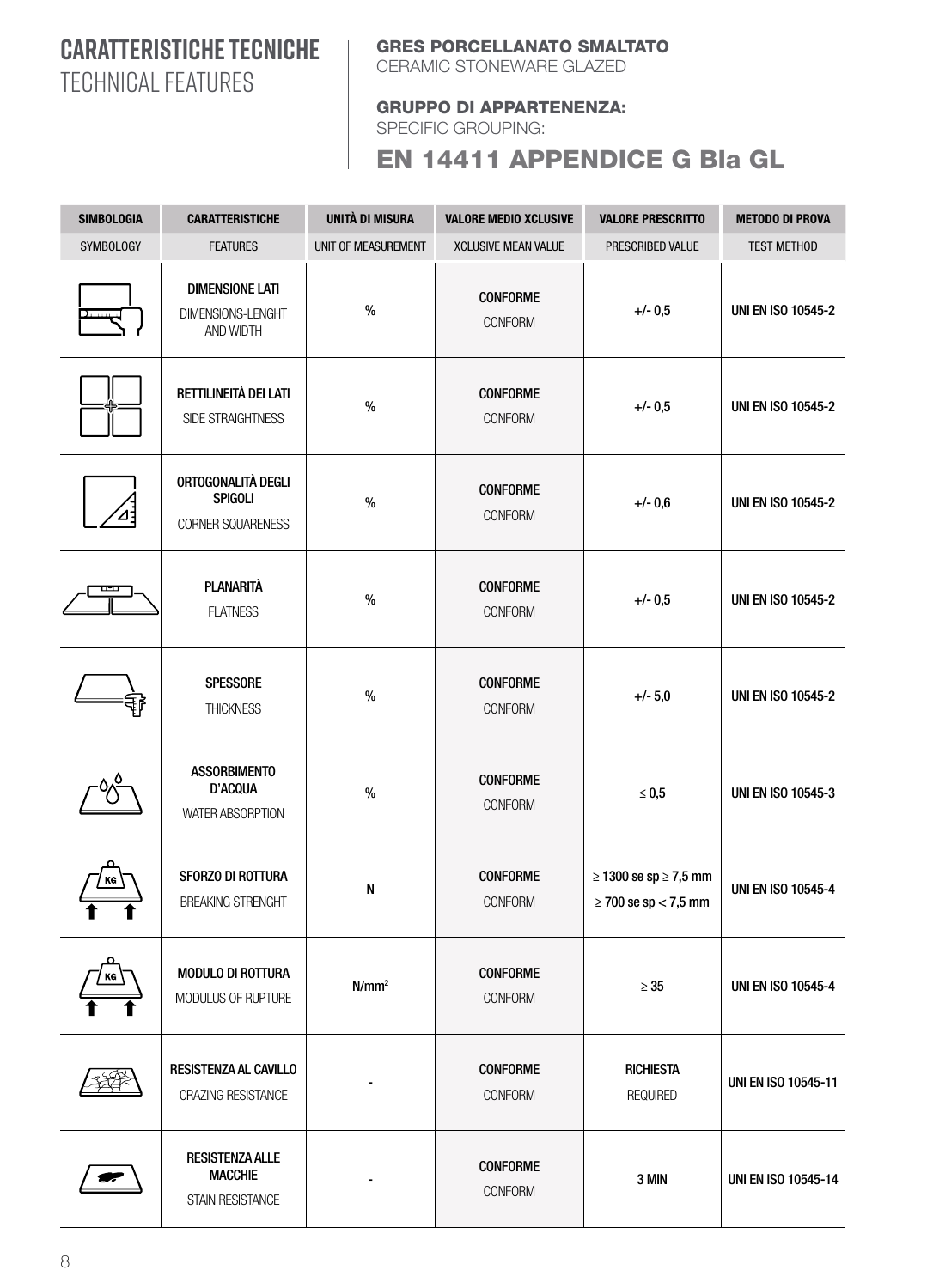#### **CARATTERISTICHE TECNICHE** TECHNICAL FEATURES

#### GRES PORCELLANATO SMALTATO

CERAMIC STONEWARE GLAZED

#### GRUPPO DI APPARTENENZA:

SPECIFIC GROUPING:

#### EN 14411 APPENDICE G BIa GL

| <b>SIMBOLOGIA</b> | <b>CARATTERISTICHE</b>                                       | <b>UNITÀ DI MISURA</b> | <b>VALORE MEDIO XCLUSIVE</b>      | <b>VALORE PRESCRITTO</b>                                     | <b>METODO DI PROVA</b>     |
|-------------------|--------------------------------------------------------------|------------------------|-----------------------------------|--------------------------------------------------------------|----------------------------|
| <b>SYMBOLOGY</b>  | <b>FEATURES</b>                                              | UNIT OF MEASUREMENT    | <b>XCLUSIVE MEAN VALUE</b>        | PRESCRIBED VALUE                                             | <b>TEST METHOD</b>         |
| <u>Danma</u>      | <b>DIMENSIONE LATI</b><br>DIMENSIONS-LENGHT<br>AND WIDTH     | $\%$                   | <b>CONFORME</b><br><b>CONFORM</b> | $+/- 0,5$                                                    | <b>UNI EN ISO 10545-2</b>  |
|                   | RETTILINEITÀ DEI LATI<br>SIDE STRAIGHTNESS                   | $\%$                   | <b>CONFORME</b><br><b>CONFORM</b> | $+/- 0,5$                                                    | <b>UNI EN ISO 10545-2</b>  |
|                   | ORTOGONALITÀ DEGLI<br><b>SPIGOLI</b><br>CORNER SQUARENESS    | $\%$                   | <b>CONFORME</b><br><b>CONFORM</b> | $+/- 0,6$                                                    | <b>UNI EN ISO 10545-2</b>  |
|                   | <b>PLANARITÀ</b><br><b>FLATNESS</b>                          | $\%$                   | <b>CONFORME</b><br><b>CONFORM</b> | $+/- 0,5$                                                    | <b>UNI EN ISO 10545-2</b>  |
|                   | <b>SPESSORE</b><br><b>THICKNESS</b>                          | $\%$                   | <b>CONFORME</b><br><b>CONFORM</b> | $+/- 5,0$                                                    | <b>UNI EN ISO 10545-2</b>  |
|                   | <b>ASSORBIMENTO</b><br>D'ACQUA<br><b>WATER ABSORPTION</b>    | $\%$                   | <b>CONFORME</b><br><b>CONFORM</b> | $\leq 0.5$                                                   | <b>UNI EN ISO 10545-3</b>  |
| ΚG                | SFORZO DI ROTTURA<br><b>BREAKING STRENGHT</b>                | ${\sf N}$              | <b>CONFORME</b><br><b>CONFORM</b> | $\geq$ 1300 se sp $\geq$ 7,5 mm<br>$\geq$ 700 se sp < 7,5 mm | <b>UNI EN ISO 10545-4</b>  |
| KG                | <b>MODULO DI ROTTURA</b><br>MODULUS OF RUPTURE               | N/mm <sup>2</sup>      | <b>CONFORME</b><br>CONFORM        | $\geq 35$                                                    | <b>UNI EN ISO 10545-4</b>  |
|                   | <b>RESISTENZA AL CAVILLO</b><br>CRAZING RESISTANCE           |                        | <b>CONFORME</b><br>CONFORM        | <b>RICHIESTA</b><br><b>REQUIRED</b>                          | <b>UNI EN ISO 10545-11</b> |
|                   | <b>RESISTENZA ALLE</b><br><b>MACCHIE</b><br>STAIN RESISTANCE |                        | <b>CONFORME</b><br><b>CONFORM</b> | 3 MIN                                                        | <b>UNI EN ISO 10545-14</b> |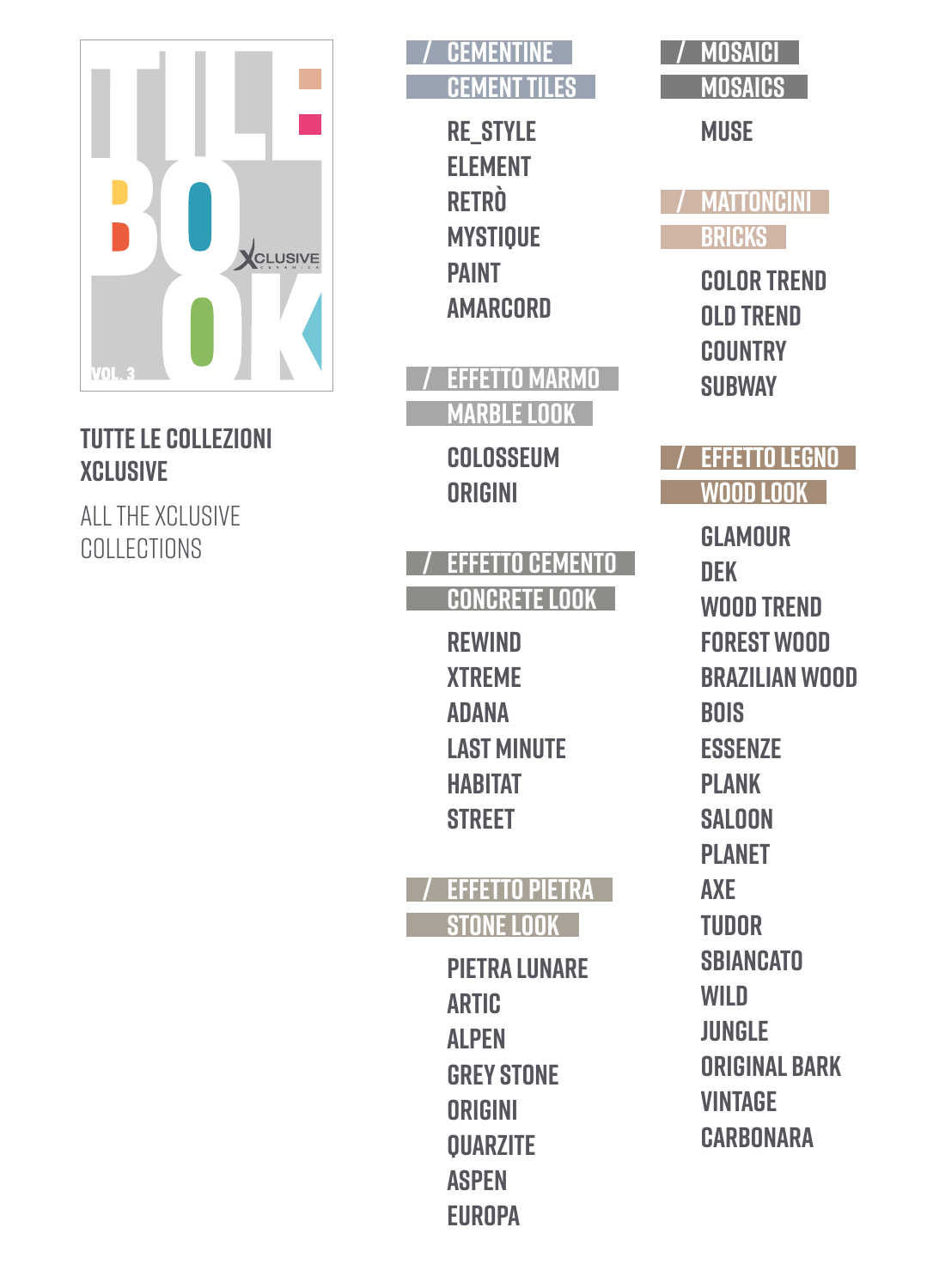

#### **tutte le Collezioni XCLUSIVE**

all the XCLUSIVE **COLLECTIONS** 



**RE\_STYLE ELEMENT RETRÒ MYSTIQUE PAINT AMARCORD** 

**/ EFFETTO MARMO MARBLE LOOK**

> **COLOSSEUM ORIGINI**

#### **/ EFFETTO CEMENTO CONCRETE LOOK**

**REWIND XTREME ADANA LAST MINUTE HABITAT STREET**

### **/ EFFETTO PIETRA STONE LOOK**

**PIETRA LUNARE ARTIC ALPEN GREY STONE ORIGINI QUARZITE ASPEN EUROPA**

| MOSAICI        |
|----------------|
| <b>MOSAICS</b> |

**MUSE**

**/ MATTONCINI BRICKS**

> **COLOR TREND OLD TREND COUNTRY SUBWAY**

### **/ EFFETTO LEGNO WOOD LOOK**

**GLAMOUR DEK WOOD TREND FOREST WOOD BRAZILIAN wood BOIS ESSENZE PLANK SALOON PLANET AXE TUDOR SBIANCATO WILD JUNGLE ORIGINAL BARK VINTAGE CARBONARA**